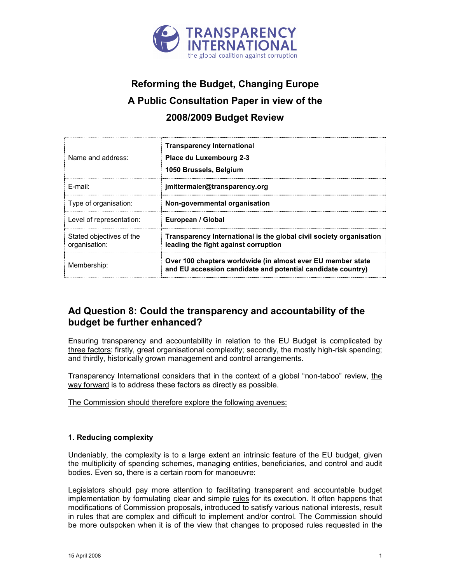

# Reforming the Budget, Changing Europe A Public Consultation Paper in view of the 2008/2009 Budget Review

| Name and address:                         | <b>Transparency International</b><br>Place du Luxembourg 2-3<br>1050 Brussels, Belgium                                     |
|-------------------------------------------|----------------------------------------------------------------------------------------------------------------------------|
| F-mail:                                   | jmittermaier@transparency.org                                                                                              |
| Type of organisation:                     | Non-governmental organisation                                                                                              |
| Level of representation:                  | European / Global                                                                                                          |
| Stated objectives of the<br>organisation: | Transparency International is the global civil society organisation<br>leading the fight against corruption                |
| Membership:                               | Over 100 chapters worldwide (in almost ever EU member state<br>and EU accession candidate and potential candidate country) |

## Ad Question 8: Could the transparency and accountability of the budget be further enhanced?

Ensuring transparency and accountability in relation to the EU Budget is complicated by three factors: firstly, great organisational complexity; secondly, the mostly high-risk spending; and thirdly, historically grown management and control arrangements.

Transparency International considers that in the context of a global "non-taboo" review, the way forward is to address these factors as directly as possible.

#### The Commission should therefore explore the following avenues:

#### 1. Reducing complexity

Undeniably, the complexity is to a large extent an intrinsic feature of the EU budget, given the multiplicity of spending schemes, managing entities, beneficiaries, and control and audit bodies. Even so, there is a certain room for manoeuvre:

Legislators should pay more attention to facilitating transparent and accountable budget implementation by formulating clear and simple rules for its execution. It often happens that modifications of Commission proposals, introduced to satisfy various national interests, result in rules that are complex and difficult to implement and/or control. The Commission should be more outspoken when it is of the view that changes to proposed rules requested in the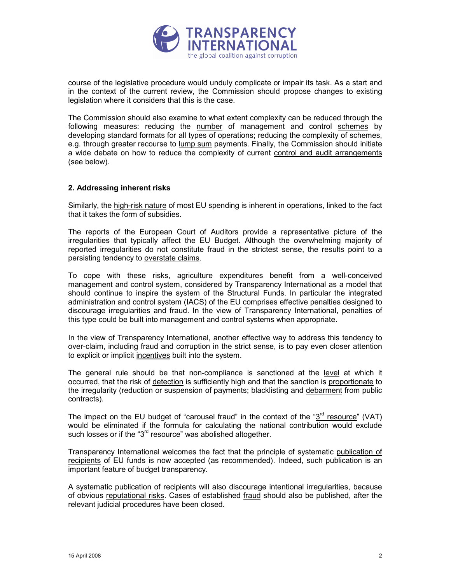

course of the legislative procedure would unduly complicate or impair its task. As a start and in the context of the current review, the Commission should propose changes to existing legislation where it considers that this is the case.

The Commission should also examine to what extent complexity can be reduced through the following measures: reducing the number of management and control schemes by developing standard formats for all types of operations; reducing the complexity of schemes, e.g. through greater recourse to lump sum payments. Finally, the Commission should initiate a wide debate on how to reduce the complexity of current control and audit arrangements (see below).

#### 2. Addressing inherent risks

Similarly, the high-risk nature of most EU spending is inherent in operations, linked to the fact that it takes the form of subsidies.

The reports of the European Court of Auditors provide a representative picture of the irregularities that typically affect the EU Budget. Although the overwhelming majority of reported irregularities do not constitute fraud in the strictest sense, the results point to a persisting tendency to overstate claims.

To cope with these risks, agriculture expenditures benefit from a well-conceived management and control system, considered by Transparency International as a model that should continue to inspire the system of the Structural Funds. In particular the integrated administration and control system (IACS) of the EU comprises effective penalties designed to discourage irregularities and fraud. In the view of Transparency International, penalties of this type could be built into management and control systems when appropriate.

In the view of Transparency International, another effective way to address this tendency to over-claim, including fraud and corruption in the strict sense, is to pay even closer attention to explicit or implicit incentives built into the system.

The general rule should be that non-compliance is sanctioned at the level at which it occurred, that the risk of detection is sufficiently high and that the sanction is proportionate to the irregularity (reduction or suspension of payments; blacklisting and debarment from public contracts).

The impact on the EU budget of "carousel fraud" in the context of the " $3<sup>rd</sup>$  resource" (VAT) would be eliminated if the formula for calculating the national contribution would exclude such losses or if the "3<sup>rd</sup> resource" was abolished altogether.

Transparency International welcomes the fact that the principle of systematic publication of recipients of EU funds is now accepted (as recommended). Indeed, such publication is an important feature of budget transparency.

A systematic publication of recipients will also discourage intentional irregularities, because of obvious reputational risks. Cases of established fraud should also be published, after the relevant judicial procedures have been closed.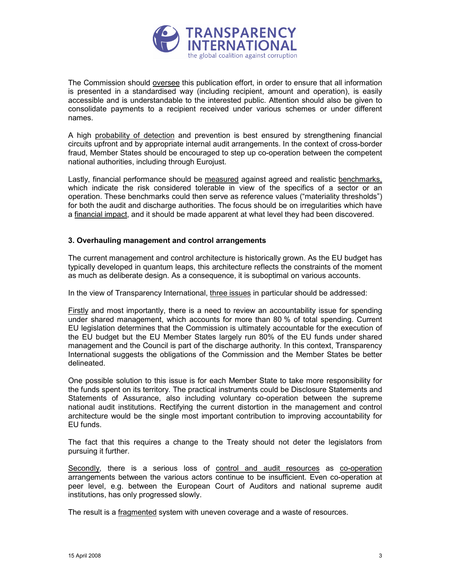

The Commission should oversee this publication effort, in order to ensure that all information is presented in a standardised way (including recipient, amount and operation), is easily accessible and is understandable to the interested public. Attention should also be given to consolidate payments to a recipient received under various schemes or under different names.

A high probability of detection and prevention is best ensured by strengthening financial circuits upfront and by appropriate internal audit arrangements. In the context of cross-border fraud, Member States should be encouraged to step up co-operation between the competent national authorities, including through Eurojust.

Lastly, financial performance should be measured against agreed and realistic benchmarks, which indicate the risk considered tolerable in view of the specifics of a sector or an operation. These benchmarks could then serve as reference values ("materiality thresholds") for both the audit and discharge authorities. The focus should be on irregularities which have a financial impact, and it should be made apparent at what level they had been discovered.

#### 3. Overhauling management and control arrangements

The current management and control architecture is historically grown. As the EU budget has typically developed in quantum leaps, this architecture reflects the constraints of the moment as much as deliberate design. As a consequence, it is suboptimal on various accounts.

In the view of Transparency International, three issues in particular should be addressed:

Firstly and most importantly, there is a need to review an accountability issue for spending under shared management, which accounts for more than 80 % of total spending. Current EU legislation determines that the Commission is ultimately accountable for the execution of the EU budget but the EU Member States largely run 80% of the EU funds under shared management and the Council is part of the discharge authority. In this context, Transparency International suggests the obligations of the Commission and the Member States be better delineated.

One possible solution to this issue is for each Member State to take more responsibility for the funds spent on its territory. The practical instruments could be Disclosure Statements and Statements of Assurance, also including voluntary co-operation between the supreme national audit institutions. Rectifying the current distortion in the management and control architecture would be the single most important contribution to improving accountability for EU funds.

The fact that this requires a change to the Treaty should not deter the legislators from pursuing it further.

Secondly, there is a serious loss of control and audit resources as co-operation arrangements between the various actors continue to be insufficient. Even co-operation at peer level, e.g. between the European Court of Auditors and national supreme audit institutions, has only progressed slowly.

The result is a fragmented system with uneven coverage and a waste of resources.